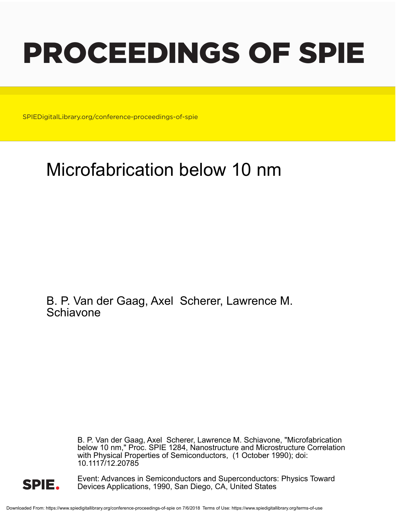# PROCEEDINGS OF SPIE

SPIEDigitalLibrary.org/conference-proceedings-of-spie

# Microfabrication below 10 nm

B. P. Van der Gaag, Axel Scherer, Lawrence M. **Schiavone** 

> B. P. Van der Gaag, Axel Scherer, Lawrence M. Schiavone, "Microfabrication below 10 nm," Proc. SPIE 1284, Nanostructure and Microstructure Correlation with Physical Properties of Semiconductors, (1 October 1990); doi: 10.1117/12.20785



Event: Advances in Semiconductors and Superconductors: Physics Toward Devices Applications, 1990, San Diego, CA, United States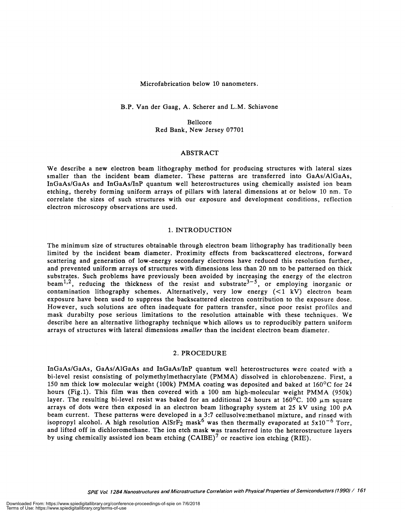Microfabrication below 10 nanometers.

B.P. Van der Gaag, A. Scherer and L.M. Schiavone

Beilcore Red Bank, New Jersey 07701

# ABSTRACT

We describe a new electron beam lithography method for producing structures with lateral sizes smaller than the incident beam diameter. These patterns are transferred into GaAs/A1GaAs, InGaAs/GaAs and InGaAs/InP quantum well heterostructures using chemically assisted ion beam etching, thereby forming uniform arrays of pillars with lateral dimensions at or below 10 nm. To correlate the sizes of such structures with our exposure and development conditions, reflection electron microscopy observations are used.

# 1. INTRODUCTION

The minimum size of structures obtainable through electron beam lithography has traditionally been limited by the incident beam diameter. Proximity effects from backscattered electrons, forward scattering and generation of low-energy secondary electrons have reduced this resolution further, and prevented uniform arrays of structures with dimensions less than 20 nm to be patterned on thick<br>substrates. Such problems have previously been avoided by increasing the energy of the electron beam<sup>1,2</sup>, reducing the thickness of the resist and substrate<sup>3-5</sup>, or employing inorganic or contamination lithography schemes. Alternatively, very low energy  $( $1$  kV) electron beam$ exposure have been used to suppress the backscattered electron contribution to the exposure dose. However, such solutions are often inadequate for pattern transfer, since poor resist profiles and mask durabilty pose serious limitations to the resolution attainable with these techniques. We describe here an alternative lithography technique which allows us to reproducibly pattern uniform arrays of structures with lateral dimensions smaller than the incident electron beam diameter.

# 2. PROCEDURE

InGaAs/GaAs, GaAs/A1GaAs and InGaAs/InP quantum well heterostructures were coated with a bi-level resist consisting of polymethylmethacrylate (PMMA) dissolved in chlorobenzene. First, a 150 nm thick low molecular weight (100k) PMMA coating was deposited and baked at 160°C for 24 hours (Fig.1). This film was then covered with a 100 nm high-molecular weight PMMA (950k) layer. The resulting bi-level resist was baked for an additional 24 hours at  $160^{\circ}$ C. 100  $\mu$ m square arrays of dots were then exposed in an electron beam lithography system at 25 kV using 100 pA beam current. These patterns were developed in a 3:7 cellusolve:methanol mixture, and rinsed with isopropyl alcohol. A high resolution  $A1SrF<sub>2</sub>$  mask<sup>6</sup> was then thermally evaporated at  $5x10^{-6}$  Torr, and lifted off in dichloromethane. The ion etch mask was transferred into the heterostructure layers by using chemically assisted ion beam etching (CAIBE)<sup>7</sup> or reactive ion etching (RIE).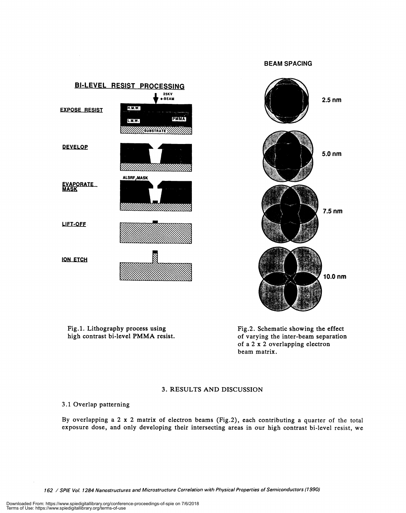# BEAM SPACING



Fig.1. Lithography process using high contrast bi-level PMMA resist. Fig.2. Schematic showing the effect of varying the inter-beam separation of a 2 x 2 overlapping electron beam matrix.

# 3. RESULTS AND DISCUSSION

# 3.1 Overlap patterning

By overlapping a 2 x 2 matrix of electron beams (Fig.2), each contributing a quarter of the total exposure dose, and only developing their intersecting areas in our high contrast bi-level resist, we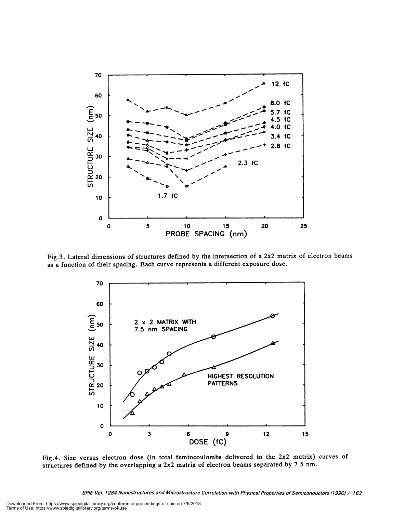

Fig.3. Lateral dimensions of structures defined by the intersection of a 2x2 matrix of electron beams as a function of their spacing. Each curve represents a different exposure dose.



Fig.4. Size versus electron dose (in total femtocoulombs delivered to the 2x2 matrix) curves of structures defined by the overlapping a 2x2 matrix of electron beams separated by 7.5 nm.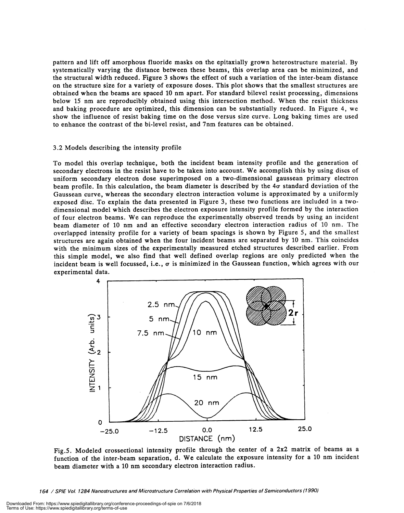pattern and lift off amorphous fluoride masks on the epitaxially grown heterostructure material. By systematically varying the distance between these beams, this overlap area can be minimized, and the structural width reduced. Figure 3 shows the effect of such a variation of the inter-beam distance on the structure size for a variety of exposure doses. This plot shows that the smallest structures are obtained when the beams are spaced 10 nm apart. For standard bilevel resist processing, dimensions below 15 nm are reproducibly obtained using this intersection method. When the resist thickness and baking procedure are optimized, this dimension can be substantially reduced. In Figure 4, we show the influence of resist baking time on the dose versus size curve. Long baking times are used to enhance the contrast of the bi-level resist, and 7nm features can be obtained.

# 3.2 Models describing the intensity profile

To model this overlap technique, both the incident beam intensity profile and the generation of secondary electrons in the resist have to be taken into account. We accomplish this by using discs of uniform secondary electron dose superimposed on a two-dimensional gaussean primary electron beam profile. In this calculation, the beam diameter is described by the  $4\sigma$  standard deviation of the Gaussean curve, whereas the secondary electron interaction volume is approximated by a uniformly exposed disc. To explain the data presented in Figure 3, these two functions are included in a twodimensional model which describes the electron exposure intensity profile formed by the interaction of four electron beams. We can reproduce the experimentally observed trends by using an incident beam diameter of 10 nm and an effective secondary electron interaction radius of 10 nm. The overlapped intensity profile for a variety of beam spacings is shown by Figure 5, and the smallest structures are again obtained when the four incident beams are separated by 10 nm. This coincides with the minimum sizes of the experimentally measured etched structures described earlier. From this simple model, we also find that well defined overlap regions are only predicted when the incident beam is well focussed, i.e.,  $\sigma$  is minimized in the Gaussean function, which agrees with our experimental data.



Fig.5. Modeled crossectional intensity profile through the center of a 2x2 matrix of beams as a function of the inter-beam separation, d. We calculate the exposure intensity for a 10 nm incident beam diameter with a 10 nm secondary electron interaction radius.

164 / SPIE Vol. 1284 Nanostructures and Microstructure Correlation with Physical Properties of Semiconductors (1990)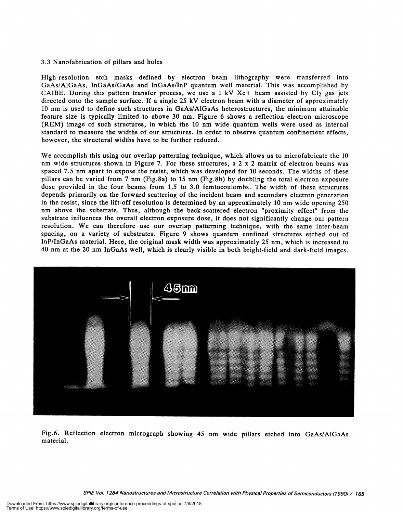# 3.3 Nanofabrication of pillars and holes

High-resolution etch masks defined by electron beam lithography were transferred into GaAs/AlGaAs, InGaAs/GaAs and InGaAs/InP quantum well material. This was accomplished by CAIBE. During this pattern transfer process, we use a 1 kV Xe+ beam assisted by  $Cl_2$  gas jets directed onto the sample surface. If a single 25 kV electron beam with a diameter of approximately 10 nm is used to define such structures in GaAs/AlGaAs heterostructures, the minimum attainable feature size is typically limited to above 30 nm. Figure 6 shows a reflection electron microscope (REM) image of such structures, in which the 10 nm wide quantum wells were used as internal standard to measure the widths of our structures. In order to observe quantum confinement effects, however, the structural widths have to be further reduced.

We accomplish this using our overlap patterning technique, which allows us to microfabricate the 10 nm wide structures shown in Figure 7. For these structures, a 2 x 2 matrix of electron beams was spaced 7.5 nm apart to expose the resist, which was developed for 10 seconds. The widths of these pillars can be varied from 7 nm (Fig.8a) to 15 nm (Fig.8b) by doubling the total electron exposure dose provided in the four beams from 1.5 to 3.0 femtocoulombs. The width of these structures depends primarily on the forward scattering of the incident beam and secondary electron generation in the resist, since the lift-off resolution is determined by an approximately 10 nm wide opening 250 nm above the substrate. Thus, although the back-scattered electron "proximity effect" from the substrate influences the overall electron exposure dose, it does not significantly change our pattern resolution. We can therefore use our overlap patterning technique, with the same inter-beam spacing, on a variety of substrates. Figure 9 shows quantum confined structures etched out of InP/InGaAs material. Here, the original mask width was approximately 25 nm, which is increased to 40 nm at the 20 nm InGaAs well, which is clearly visible in both bright-field and dark-field images.



Fig.6. Reflection electron micrograph showing 45 nm wide pillars etched into GaAs/AlGaAs material.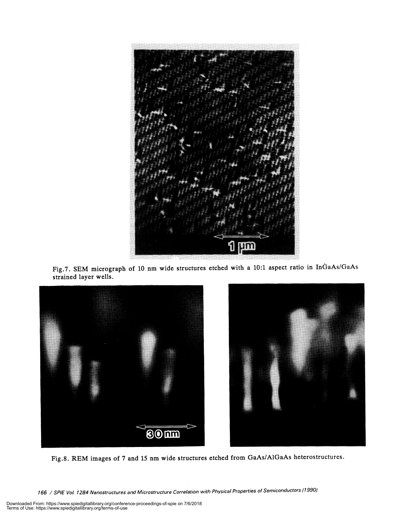

Fig.7. SEM micrograph of 10 nm wide structures etched with a 10:1 aspect ratio in InGaAs/GaAs strained layer wells.



Fig.8. REM images of 7 and 15 nm wide structures etched from GaAs/A1GaAs heterostructures.

166 / SPIE Vol. 1284 Nanostructures and Microstructure Correlation with Physical Properties of Semiconductors (1990)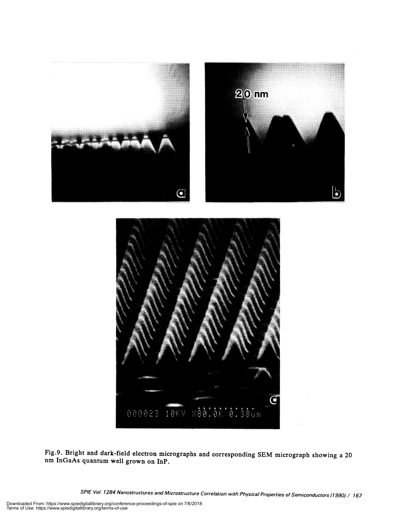



Fig.9. Bright and dark-field electron micrographs and corresponding SEM micrograph showing a 20 nm InGaAs quantum well grown on InP.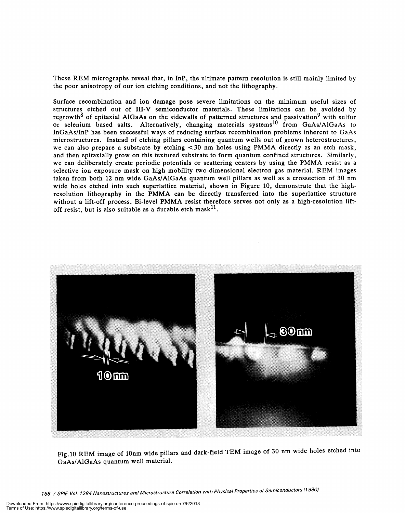These REM micrographs reveal that, in InP, the ultimate pattern resolution is still mainly limited by the poor anisotropy of our ion etching conditions, and not the lithography.

Surface recombination and ion damage pose severe limitations on the minimum useful sizes of structures etched out of 111-V semiconductor materials. These limitations can be avoided by regrowth<sup>8</sup> of epitaxial AlGaAs on the sidewalls of patterned structures and passivation<sup>9</sup> with sulfur or selenium based salts. Alternatively, changing materials systems<sup>10</sup> from GaAs/AlGaAs to InGaAs/InP has been successful ways of reducing surface recombination problems inherent to GaAs microstructures. Instead of etching pillars containing quantum wells out of grown heterostructures, we can also prepare a substrate by etching <30 nm holes using PMMA directly as an etch mask, and then epitaxially grow on this textured substrate to form quantum confined structures. Similarly, we can deliberately create periodic potentials or scattering centers by using the PMMA resist as a selective ion exposure mask on high mobility two-dimensional electron gas material. REM images taken from both 12 nm wide GaAs/AlGaAs quantum well pillars as well as a crossection of 30 nm wide holes etched into such superlattice material, shown in Figure 10, demonstrate that the highresolution lithography in the PMMA can be directly transferred into the superlattice structure without a lift-off process. Bi-level PMMA resist therefore serves not only as a high-resolution liftoff resist, but is also suitable as a durable etch mask<sup>11</sup>.



Fig.10 REM image of lOnm wide pillars and dark-field TEM image of 30 nm wide holes etched into GaAs/A1GaAs quantum well material.